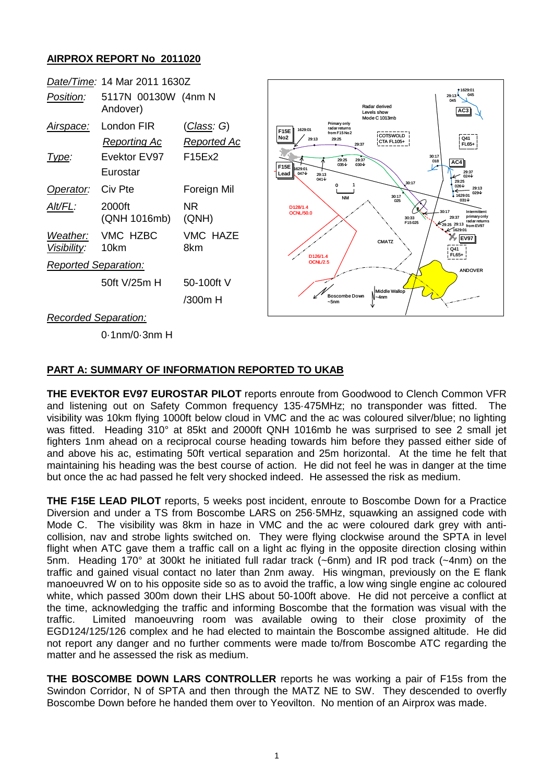## **AIRPROX REPORT No 2011020**



## **PART A: SUMMARY OF INFORMATION REPORTED TO UKAB**

**THE EVEKTOR EV97 EUROSTAR PILOT** reports enroute from Goodwood to Clench Common VFR and listening out on Safety Common frequency 135·475MHz; no transponder was fitted. The visibility was 10km flying 1000ft below cloud in VMC and the ac was coloured silver/blue; no lighting was fitted. Heading 310° at 85kt and 2000ft QNH 1016mb he was surprised to see 2 small jet fighters 1nm ahead on a reciprocal course heading towards him before they passed either side of and above his ac, estimating 50ft vertical separation and 25m horizontal. At the time he felt that maintaining his heading was the best course of action. He did not feel he was in danger at the time but once the ac had passed he felt very shocked indeed. He assessed the risk as medium.

**THE F15E LEAD PILOT** reports, 5 weeks post incident, enroute to Boscombe Down for a Practice Diversion and under a TS from Boscombe LARS on 256·5MHz, squawking an assigned code with Mode C. The visibility was 8km in haze in VMC and the ac were coloured dark grey with anticollision, nav and strobe lights switched on. They were flying clockwise around the SPTA in level flight when ATC gave them a traffic call on a light ac flying in the opposite direction closing within 5nm. Heading 170° at 300kt he initiated full radar track (~6nm) and IR pod track (~4nm) on the traffic and gained visual contact no later than 2nm away. His wingman, previously on the E flank manoeuvred W on to his opposite side so as to avoid the traffic, a low wing single engine ac coloured white, which passed 300m down their LHS about 50-100ft above. He did not perceive a conflict at the time, acknowledging the traffic and informing Boscombe that the formation was visual with the traffic. Limited manoeuvring room was available owing to their close proximity of the EGD124/125/126 complex and he had elected to maintain the Boscombe assigned altitude. He did not report any danger and no further comments were made to/from Boscombe ATC regarding the matter and he assessed the risk as medium.

**THE BOSCOMBE DOWN LARS CONTROLLER** reports he was working a pair of F15s from the Swindon Corridor, N of SPTA and then through the MATZ NE to SW. They descended to overfly Boscombe Down before he handed them over to Yeovilton. No mention of an Airprox was made.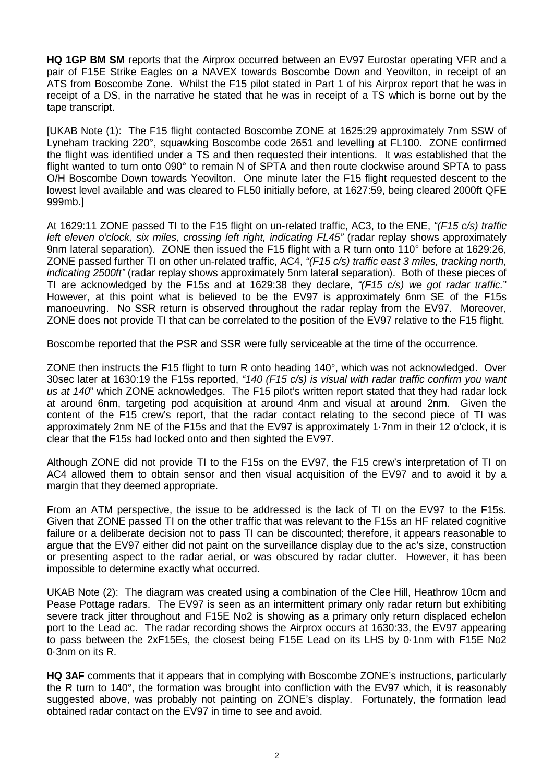**HQ 1GP BM SM** reports that the Airprox occurred between an EV97 Eurostar operating VFR and a pair of F15E Strike Eagles on a NAVEX towards Boscombe Down and Yeovilton, in receipt of an ATS from Boscombe Zone. Whilst the F15 pilot stated in Part 1 of his Airprox report that he was in receipt of a DS, in the narrative he stated that he was in receipt of a TS which is borne out by the tape transcript.

[UKAB Note (1): The F15 flight contacted Boscombe ZONE at 1625:29 approximately 7nm SSW of Lyneham tracking 220°, squawking Boscombe code 2651 and levelling at FL100. ZONE confirmed the flight was identified under a TS and then requested their intentions. It was established that the flight wanted to turn onto 090° to remain N of SPTA and then route clockwise around SPTA to pass O/H Boscombe Down towards Yeovilton. One minute later the F15 flight requested descent to the lowest level available and was cleared to FL50 initially before, at 1627:59, being cleared 2000ft QFE 999mb.]

At 1629:11 ZONE passed TI to the F15 flight on un-related traffic, AC3, to the ENE, *"(F15 c/s) traffic left eleven o'clock, six miles, crossing left right, indicating FL45"* (radar replay shows approximately 9nm lateral separation). ZONE then issued the F15 flight with a R turn onto 110° before at 1629:26, ZONE passed further TI on other un-related traffic, AC4, *"(F15 c/s) traffic east 3 miles, tracking north, indicating 2500ft"* (radar replay shows approximately 5nm lateral separation). Both of these pieces of TI are acknowledged by the F15s and at 1629:38 they declare, *"(F15 c/s) we got radar traffic.*" However, at this point what is believed to be the EV97 is approximately 6nm SE of the F15s manoeuvring. No SSR return is observed throughout the radar replay from the EV97. Moreover, ZONE does not provide TI that can be correlated to the position of the EV97 relative to the F15 flight.

Boscombe reported that the PSR and SSR were fully serviceable at the time of the occurrence.

ZONE then instructs the F15 flight to turn R onto heading 140°, which was not acknowledged. Over 30sec later at 1630:19 the F15s reported, *"140 (F15 c/s) is visual with radar traffic confirm you want us at 140*" which ZONE acknowledges. The F15 pilot's written report stated that they had radar lock at around 6nm, targeting pod acquisition at around 4nm and visual at around 2nm. Given the content of the F15 crew's report, that the radar contact relating to the second piece of TI was approximately 2nm NE of the F15s and that the EV97 is approximately 1·7nm in their 12 o'clock, it is clear that the F15s had locked onto and then sighted the EV97.

Although ZONE did not provide TI to the F15s on the EV97, the F15 crew's interpretation of TI on AC4 allowed them to obtain sensor and then visual acquisition of the EV97 and to avoid it by a margin that they deemed appropriate.

From an ATM perspective, the issue to be addressed is the lack of TI on the EV97 to the F15s. Given that ZONE passed TI on the other traffic that was relevant to the F15s an HF related cognitive failure or a deliberate decision not to pass TI can be discounted; therefore, it appears reasonable to argue that the EV97 either did not paint on the surveillance display due to the ac's size, construction or presenting aspect to the radar aerial, or was obscured by radar clutter. However, it has been impossible to determine exactly what occurred.

UKAB Note (2): The diagram was created using a combination of the Clee Hill, Heathrow 10cm and Pease Pottage radars. The EV97 is seen as an intermittent primary only radar return but exhibiting severe track jitter throughout and F15E No2 is showing as a primary only return displaced echelon port to the Lead ac. The radar recording shows the Airprox occurs at 1630:33, the EV97 appearing to pass between the 2xF15Es, the closest being F15E Lead on its LHS by 0·1nm with F15E No2 0·3nm on its R.

**HQ 3AF** comments that it appears that in complying with Boscombe ZONE's instructions, particularly the R turn to 140°, the formation was brought into confliction with the EV97 which, it is reasonably suggested above, was probably not painting on ZONE's display. Fortunately, the formation lead obtained radar contact on the EV97 in time to see and avoid.